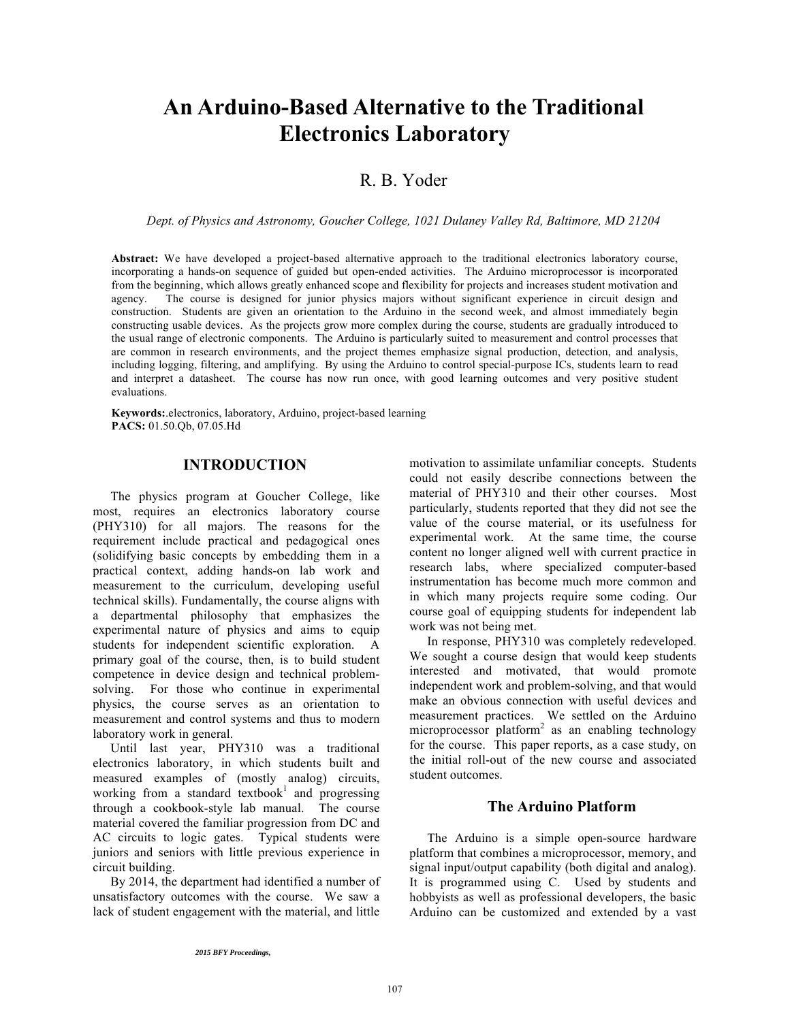# **An Arduino-Based Alternative to the Traditional Electronics Laboratory**

# R. B. Yoder

*Dept. of Physics and Astronomy, Goucher College, 1021 Dulaney Valley Rd, Baltimore, MD 21204*

**Abstract:** We have developed a project-based alternative approach to the traditional electronics laboratory course, incorporating a hands-on sequence of guided but open-ended activities. The Arduino microprocessor is incorporated from the beginning, which allows greatly enhanced scope and flexibility for projects and increases student motivation and agency. The course is designed for junior physics majors without significant experience in circuit design and construction. Students are given an orientation to the Arduino in the second week, and almost immediately begin constructing usable devices. As the projects grow more complex during the course, students are gradually introduced to the usual range of electronic components. The Arduino is particularly suited to measurement and control processes that are common in research environments, and the project themes emphasize signal production, detection, and analysis, including logging, filtering, and amplifying. By using the Arduino to control special-purpose ICs, students learn to read and interpret a datasheet. The course has now run once, with good learning outcomes and very positive student evaluations.

**Keywords:**.electronics, laboratory, Arduino, project-based learning **PACS:** 01.50.Qb, 07.05.Hd

## **INTRODUCTION**

The physics program at Goucher College, like most, requires an electronics laboratory course (PHY310) for all majors. The reasons for the requirement include practical and pedagogical ones (solidifying basic concepts by embedding them in a practical context, adding hands-on lab work and measurement to the curriculum, developing useful technical skills). Fundamentally, the course aligns with a departmental philosophy that emphasizes the experimental nature of physics and aims to equip students for independent scientific exploration. A primary goal of the course, then, is to build student competence in device design and technical problemsolving. For those who continue in experimental physics, the course serves as an orientation to measurement and control systems and thus to modern laboratory work in general.

Until last year, PHY310 was a traditional electronics laboratory, in which students built and measured examples of (mostly analog) circuits, working from a standard textbook<sup>1</sup> and progressing through a cookbook-style lab manual. The course material covered the familiar progression from DC and AC circuits to logic gates. Typical students were juniors and seniors with little previous experience in circuit building.

By 2014, the department had identified a number of unsatisfactory outcomes with the course. We saw a lack of student engagement with the material, and little motivation to assimilate unfamiliar concepts. Students could not easily describe connections between the material of PHY310 and their other courses. Most particularly, students reported that they did not see the value of the course material, or its usefulness for experimental work. At the same time, the course content no longer aligned well with current practice in research labs, where specialized computer-based instrumentation has become much more common and in which many projects require some coding. Our course goal of equipping students for independent lab work was not being met.

In response, PHY310 was completely redeveloped. We sought a course design that would keep students interested and motivated, that would promote independent work and problem-solving, and that would make an obvious connection with useful devices and measurement practices. We settled on the Arduino microprocessor platform<sup>2</sup> as an enabling technology for the course. This paper reports, as a case study, on the initial roll-out of the new course and associated student outcomes.

#### **The Arduino Platform**

The Arduino is a simple open-source hardware platform that combines a microprocessor, memory, and signal input/output capability (both digital and analog). It is programmed using C. Used by students and hobbyists as well as professional developers, the basic Arduino can be customized and extended by a vast

<sup>2015</sup> BFY Proceedings, edited by Eblen-Zayas,Behringer, and Kozminski; Peer-reviewed,doi:10.1119/bfy.2015.pr.02

Published by the American Association of Physics Teachers under a Creative Commons Attribution 3.0 license. Further distribution must maintain attribution to the article's authors, title, proceedings citation, and DOI.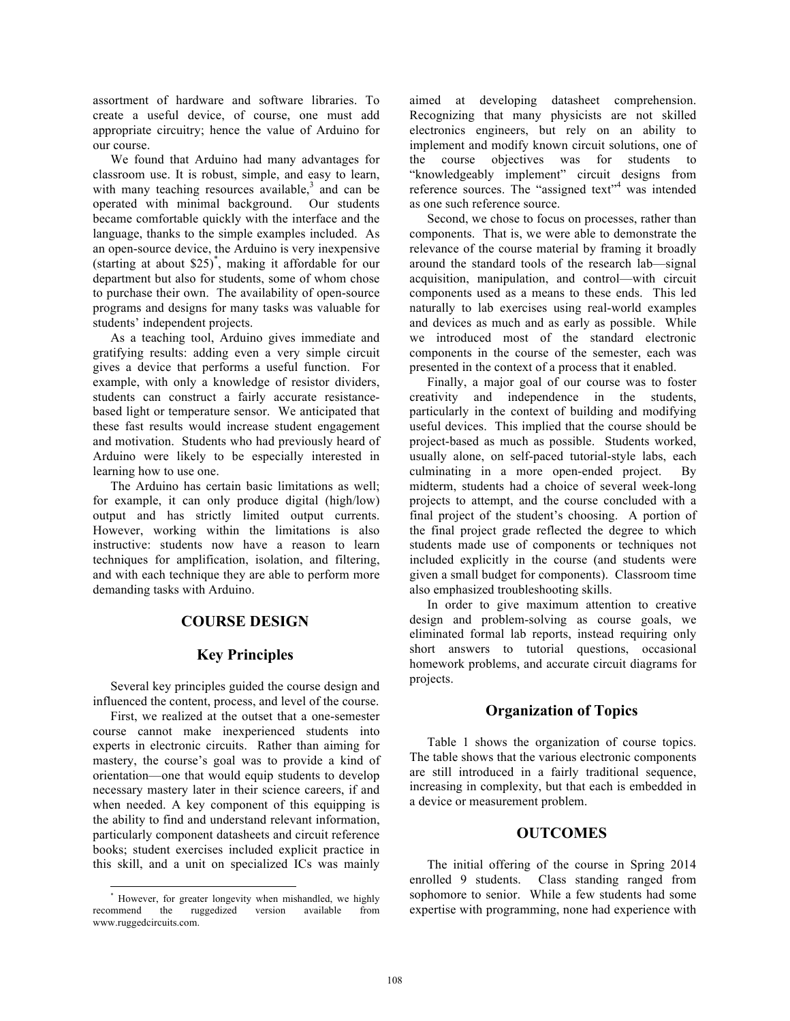assortment of hardware and software libraries. To create a useful device, of course, one must add appropriate circuitry; hence the value of Arduino for our course.

We found that Arduino had many advantages for classroom use. It is robust, simple, and easy to learn, with many teaching resources available, $3$  and can be operated with minimal background. Our students became comfortable quickly with the interface and the language, thanks to the simple examples included. As an open-source device, the Arduino is very inexpensive (starting at about \$25) \* , making it affordable for our department but also for students, some of whom chose to purchase their own. The availability of open-source programs and designs for many tasks was valuable for students' independent projects.

As a teaching tool, Arduino gives immediate and gratifying results: adding even a very simple circuit gives a device that performs a useful function. For example, with only a knowledge of resistor dividers, students can construct a fairly accurate resistancebased light or temperature sensor. We anticipated that these fast results would increase student engagement and motivation. Students who had previously heard of Arduino were likely to be especially interested in learning how to use one.

The Arduino has certain basic limitations as well; for example, it can only produce digital (high/low) output and has strictly limited output currents. However, working within the limitations is also instructive: students now have a reason to learn techniques for amplification, isolation, and filtering, and with each technique they are able to perform more demanding tasks with Arduino.

#### **COURSE DESIGN**

#### **Key Principles**

Several key principles guided the course design and influenced the content, process, and level of the course.

First, we realized at the outset that a one-semester course cannot make inexperienced students into experts in electronic circuits. Rather than aiming for mastery, the course's goal was to provide a kind of orientation—one that would equip students to develop necessary mastery later in their science careers, if and when needed. A key component of this equipping is the ability to find and understand relevant information, particularly component datasheets and circuit reference books; student exercises included explicit practice in this skill, and a unit on specialized ICs was mainly aimed at developing datasheet comprehension. Recognizing that many physicists are not skilled electronics engineers, but rely on an ability to implement and modify known circuit solutions, one of the course objectives was for students to "knowledgeably implement" circuit designs from reference sources. The "assigned text"<sup>4</sup> was intended as one such reference source.

Second, we chose to focus on processes, rather than components. That is, we were able to demonstrate the relevance of the course material by framing it broadly around the standard tools of the research lab—signal acquisition, manipulation, and control—with circuit components used as a means to these ends. This led naturally to lab exercises using real-world examples and devices as much and as early as possible. While we introduced most of the standard electronic components in the course of the semester, each was presented in the context of a process that it enabled.

Finally, a major goal of our course was to foster creativity and independence in the students, particularly in the context of building and modifying useful devices. This implied that the course should be project-based as much as possible. Students worked, usually alone, on self-paced tutorial-style labs, each culminating in a more open-ended project. By midterm, students had a choice of several week-long projects to attempt, and the course concluded with a final project of the student's choosing. A portion of the final project grade reflected the degree to which students made use of components or techniques not included explicitly in the course (and students were given a small budget for components). Classroom time also emphasized troubleshooting skills.

In order to give maximum attention to creative design and problem-solving as course goals, we eliminated formal lab reports, instead requiring only short answers to tutorial questions, occasional homework problems, and accurate circuit diagrams for projects.

#### **Organization of Topics**

Table 1 shows the organization of course topics. The table shows that the various electronic components are still introduced in a fairly traditional sequence, increasing in complexity, but that each is embedded in a device or measurement problem.

### **OUTCOMES**

The initial offering of the course in Spring 2014 enrolled 9 students. Class standing ranged from sophomore to senior. While a few students had some expertise with programming, none had experience with

However, for greater longevity when mishandled, we highly recommend the ruggedized version available from www.ruggedcircuits.com.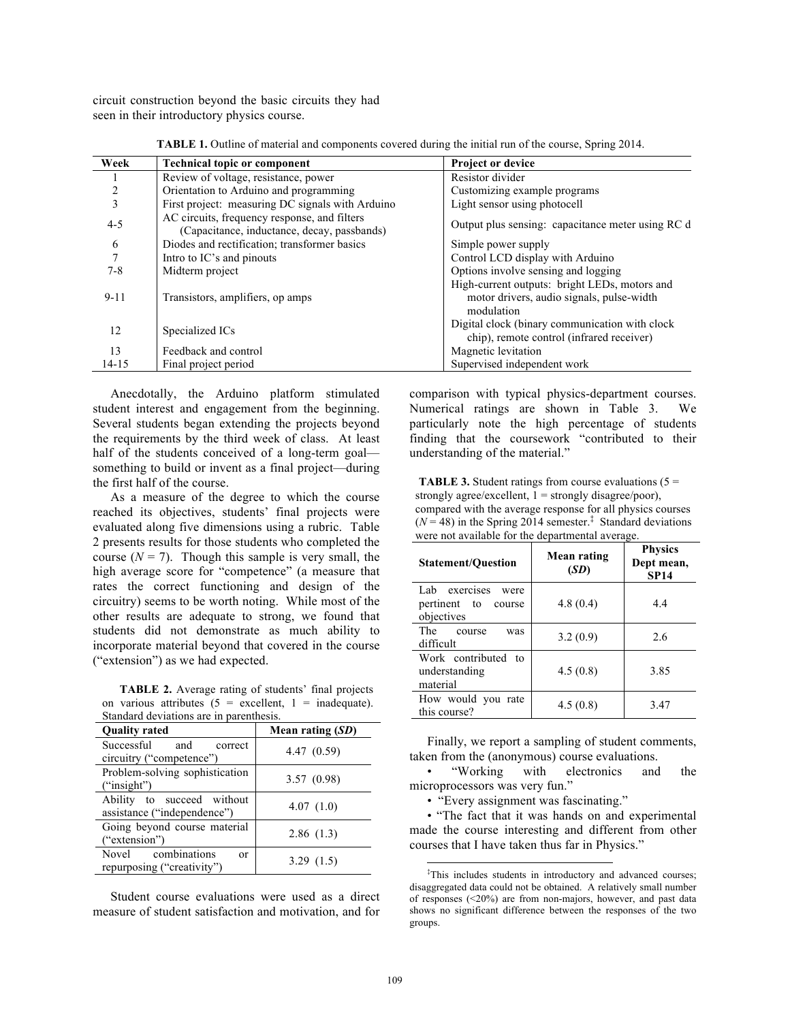circuit construction beyond the basic circuits they had seen in their introductory physics course.

| Week           | <b>Technical topic or component</b>                                                         | <b>Project or device</b>                                                                                 |  |
|----------------|---------------------------------------------------------------------------------------------|----------------------------------------------------------------------------------------------------------|--|
|                | Review of voltage, resistance, power                                                        | Resistor divider                                                                                         |  |
| 2              | Orientation to Arduino and programming                                                      | Customizing example programs                                                                             |  |
| 3              | First project: measuring DC signals with Arduino                                            | Light sensor using photocell                                                                             |  |
| $4 - 5$        | AC circuits, frequency response, and filters<br>(Capacitance, inductance, decay, passbands) | Output plus sensing: capacitance meter using RC d                                                        |  |
| 6              | Diodes and rectification; transformer basics                                                | Simple power supply                                                                                      |  |
| $\overline{7}$ | Intro to IC's and pinouts                                                                   | Control LCD display with Arduino                                                                         |  |
| $7 - 8$        | Midterm project                                                                             | Options involve sensing and logging                                                                      |  |
| $9 - 11$       | Transistors, amplifiers, op amps                                                            | High-current outputs: bright LEDs, motors and<br>motor drivers, audio signals, pulse-width<br>modulation |  |
| 12             | Specialized ICs                                                                             | Digital clock (binary communication with clock<br>chip), remote control (infrared receiver)              |  |
| 13             | Feedback and control                                                                        | Magnetic levitation                                                                                      |  |
| $14 - 15$      | Final project period                                                                        | Supervised independent work                                                                              |  |

**TABLE 1.** Outline of material and components covered during the initial run of the course, Spring 2014.

Anecdotally, the Arduino platform stimulated student interest and engagement from the beginning. Several students began extending the projects beyond the requirements by the third week of class. At least half of the students conceived of a long-term goal something to build or invent as a final project—during the first half of the course.

As a measure of the degree to which the course reached its objectives, students' final projects were evaluated along five dimensions using a rubric. Table 2 presents results for those students who completed the course  $(N = 7)$ . Though this sample is very small, the high average score for "competence" (a measure that rates the correct functioning and design of the circuitry) seems to be worth noting. While most of the other results are adequate to strong, we found that students did not demonstrate as much ability to incorporate material beyond that covered in the course ("extension") as we had expected.

**TABLE 2.** Average rating of students' final projects on various attributes  $(5 = \text{excellent}, 1 = \text{inadequate}).$ <br>Standard deviations are in paramthesis. Standard deviations are

| standard deviations are in parenthesis.<br><b>Quality rated</b> | Mean rating $(SD)$ |
|-----------------------------------------------------------------|--------------------|
| Successful<br>and<br>correct<br>circuitry ("competence")        | 4.47(0.59)         |
| Problem-solving sophistication<br>("insight")                   | 3.57(0.98)         |
| Ability to succeed without<br>assistance ("independence")       | 4.07(1.0)          |
| Going beyond course material<br>("extension")                   | 2.86(1.3)          |
| Novel combinations<br>$\alpha$<br>repurposing ("creativity")    | 3.29(1.5)          |

Student course evaluations were used as a direct measure of student satisfaction and motivation, and for comparison with typical physics-department courses. Numerical ratings are shown in Table 3. We particularly note the high percentage of students finding that the coursework "contributed to their understanding of the material."

**TABLE 3.** Student ratings from course evaluations  $(5 =$ strongly agree/excellent,  $1 =$  strongly disagree/poor), compared with the average response for all physics courses  $(N = 48)$  in the Spring 2014 semester.<sup>‡</sup> Standard deviations were not available for the departmental average.

| <b>Statement/Question</b>                                      | Mean rating<br>(SD) | <b>Physics</b><br>Dept mean,<br><b>SP14</b> |
|----------------------------------------------------------------|---------------------|---------------------------------------------|
| Lab.<br>exercises<br>were<br>pertinent to course<br>objectives | 4.8(0.4)            | 4.4                                         |
| The<br>course<br>was<br>difficult                              | 3.2(0.9)            | 2.6                                         |
| Work contributed to<br>understanding<br>material               | 4.5(0.8)            | 3.85                                        |
| How would you rate<br>this course?                             | 4.5(0.8)            | 3.47                                        |

Finally, we report a sampling of student comments, taken from the (anonymous) course evaluations.

• "Working with electronics and the microprocessors was very fun."

• "Every assignment was fascinating."

• "The fact that it was hands on and experimental made the course interesting and different from other courses that I have taken thus far in Physics."

 <sup>‡</sup> <sup>‡</sup>This includes students in introductory and advanced courses; disaggregated data could not be obtained. A relatively small number of responses (<20%) are from non-majors, however, and past data shows no significant difference between the responses of the two groups.